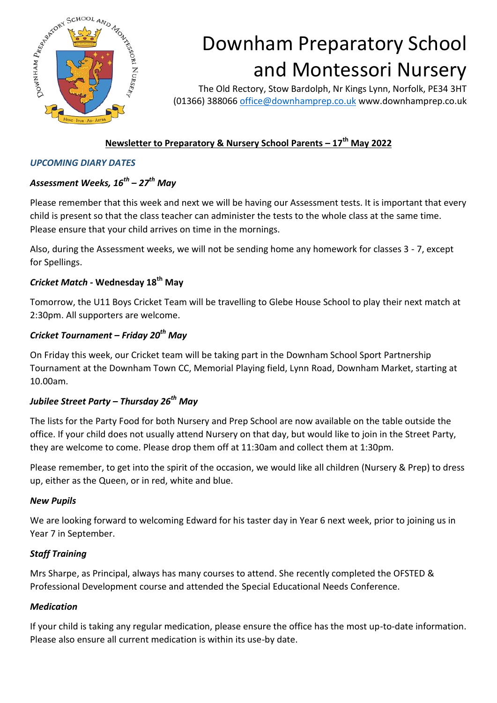

# Downham Preparatory School and Montessori Nursery

The Old Rectory, Stow Bardolph, Nr Kings Lynn, Norfolk, PE34 3HT (01366) 388066 [office@downhamprep.co.uk](mailto:office@downhamprep.co.uk) www.downhamprep.co.uk

## **Newsletter to Preparatory & Nursery School Parents – 17th May 2022**

#### *UPCOMING DIARY DATES*

## *Assessment Weeks, 16th – 27th May*

Please remember that this week and next we will be having our Assessment tests. It is important that every child is present so that the class teacher can administer the tests to the whole class at the same time. Please ensure that your child arrives on time in the mornings.

Also, during the Assessment weeks, we will not be sending home any homework for classes 3 - 7, except for Spellings.

## *Cricket Match -* **Wednesday 18th May**

Tomorrow, the U11 Boys Cricket Team will be travelling to Glebe House School to play their next match at 2:30pm. All supporters are welcome.

## *Cricket Tournament – Friday 20th May*

On Friday this week, our Cricket team will be taking part in the Downham School Sport Partnership Tournament at the Downham Town CC, Memorial Playing field, Lynn Road, Downham Market, starting at 10.00am.

## *Jubilee Street Party – Thursday 26th May*

The lists for the Party Food for both Nursery and Prep School are now available on the table outside the office. If your child does not usually attend Nursery on that day, but would like to join in the Street Party, they are welcome to come. Please drop them off at 11:30am and collect them at 1:30pm.

Please remember, to get into the spirit of the occasion, we would like all children (Nursery & Prep) to dress up, either as the Queen, or in red, white and blue.

#### *New Pupils*

We are looking forward to welcoming Edward for his taster day in Year 6 next week, prior to joining us in Year 7 in September.

#### *Staff Training*

Mrs Sharpe, as Principal, always has many courses to attend. She recently completed the OFSTED & Professional Development course and attended the Special Educational Needs Conference.

#### *Medication*

If your child is taking any regular medication, please ensure the office has the most up-to-date information. Please also ensure all current medication is within its use-by date.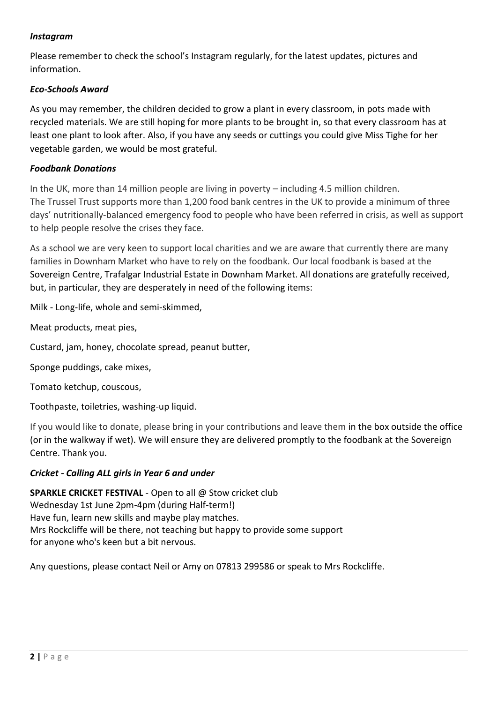#### *Instagram*

Please remember to check the school's Instagram regularly, for the latest updates, pictures and information.

#### *Eco-Schools Award*

As you may remember, the children decided to grow a plant in every classroom, in pots made with recycled materials. We are still hoping for more plants to be brought in, so that every classroom has at least one plant to look after. Also, if you have any seeds or cuttings you could give Miss Tighe for her vegetable garden, we would be most grateful.

#### *Foodbank Donations*

In the UK, more than 14 million people are living in poverty – including 4.5 million children. The Trussel Trust supports more than 1,200 food bank centres in the UK to provide a minimum of three days' nutritionally-balanced emergency food to people who have been referred in crisis, as well as support to help people resolve the crises they face.

As a school we are very keen to support local charities and we are aware that currently there are many families in Downham Market who have to rely on the foodbank. Our local foodbank is based at the Sovereign Centre, Trafalgar Industrial Estate in Downham Market. All donations are gratefully received, but, in particular, they are desperately in need of the following items:

Milk - Long-life, whole and semi-skimmed,

Meat products, meat pies,

Custard, jam, honey, chocolate spread, peanut butter,

Sponge puddings, cake mixes,

Tomato ketchup, couscous,

Toothpaste, toiletries, washing-up liquid.

If you would like to donate, please bring in your contributions and leave them in the box outside the office (or in the walkway if wet). We will ensure they are delivered promptly to the foodbank at the Sovereign Centre. Thank you.

#### *Cricket - Calling ALL girls in Year 6 and under*

**SPARKLE CRICKET FESTIVAL** - Open to all @ Stow cricket club Wednesday 1st June 2pm-4pm (during Half-term!) Have fun, learn new skills and maybe play matches. Mrs Rockcliffe will be there, not teaching but happy to provide some support for anyone who's keen but a bit nervous.

Any questions, please contact Neil or Amy on 07813 299586 or speak to Mrs Rockcliffe.